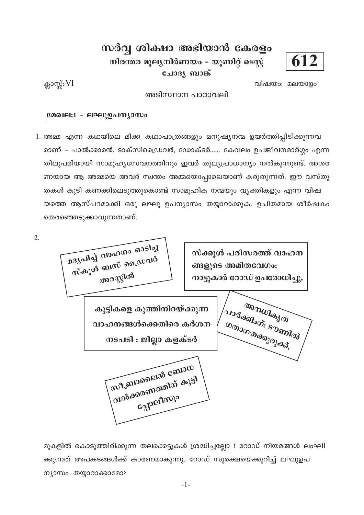# 612

## സർവ്വ ശിക്ഷാ അഭിയാൻ കേരളം

നിരന്തര മൂല്യനിർണയം – യൂണിറ്റ് ടെസ്റ്റ്

ചോദ്യ ബാങ്ക്

ക്ലാസ്സ്: VI

 $2.$ 

വിഷയം: മലയാളം

അടിസ്ഥാന പാഠാവലി

#### മേഖല:1 - ലഘുഉപന്യാസം

1. അമ്മ എന്ന കഥയിലെ മിക്ക കഥാപാത്രങ്ങളും മനുഷ്യനന്മ ഉയർത്തിപ്പിടിക്കുന്നവ രാണ് – പാൽക്കാരൻ, ടാക്സിഡ്രൈവർ, ഡോക്ടർ...... കേവലം ഉപജീവനമാർഗ്ഗം എന്ന തിലുപരിയായി സാമൂഹ്യസേവനത്തിനും ഇവർ തുല്യപ്രാധാന്യം നൽകുന്നുണ്ട്. അശര ണയായ ആ അമ്മയെ അവർ സ്വന്തം അമ്മയെപ്പോലെയാണ് കരുതുന്നത്. ഈ വസ്തു തകൾ കൂടി കണക്കിലെടുത്തുകൊണ്ട് സാമൂഹിക നന്മയും വ്യക്തികളും എന്ന വിഷ യത്തെ ആസ്പദമാക്കി ഒരു ലഘു ഉപന്യാസം തയ്യാറാക്കുക. ഉചിതമായ ശീർഷകം തെരഞ്ഞെടുക്കാവുന്നതാണ്.

മദൃപിച്ച് വാഹനം ഓടിച്ച സ്ക്കൂൾ പരിസരത്ത് വാഹന സ്കൂൾ ബസ് ഡ്രൈവർ ങ്ങളുടെ അമിതവേഗം: അറസ്റ്റിൽ നാട്ടുകാർ റോഡ് ഉപരോധിച്ചു. <sub>ആസസികൃത</sub> കുട്ടികളെ കുത്തിനിറയ്ക്കുന്ന (aladashovi: sagmalas വാഹനങ്ങൾക്കെതിരെ കർശന നടപടി : ജില്ലാ കളക്ടർ സീബ്രാലൈൻ ബോധ വൽക്കരണത്തിന് കുട്ടി Gapennyo

മുകളിൽ കൊടുത്തിരിക്കുന്ന തലക്കെട്ടുകൾ ശ്രദ്ധിച്ചല്ലോ ! റോഡ് നിയമങ്ങൾ ലംഘി ക്കുന്നത് അപകടങ്ങൾക്ക് കാരണമാകുന്നു. റോഡ് സുരക്ഷയെക്കുറിച്ച് ലഘുഉപ ന്യാസം തയ്യാറാക്കാമോ?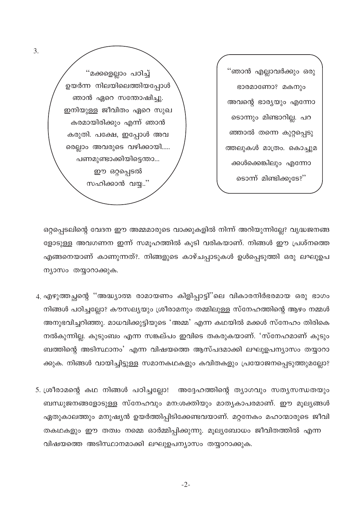''ഞാൻ എല്ലാവർക്കു<mark>ം</mark> ഒരു ഭാരമാണോ? മകനും അവന്റെ ഭാര്യയും എന്നോ ടൊന്നും മിണ്ടാറില്ല. പറ ഞ്ഞാൽ തന്നെ കുറ്റപ്പെടു ത്തലുകൾ മാത്രം. കൊച്ചുമ ക്കൾക്കെങ്കിലും എന്നോ ടൊന്ന് മിണ്ടിക്കുടേ?"

"മക്കളെല്ലാം പഠിച്ച് ഉയർന്ന നിലയിലെത്തിയപ്പോൾ ഞാൻ ഏറെ സന്തോഷിച്ചു. ഇനിയുള്ള ജീവിതം ഏറെ സുഖ കരമായിരിക്കും എന്ന് ഞാൻ കരുതി. പക്ഷേ, ഇപ്പോൾ അവ രെല്ലാം അവരുടെ വഴിക്കായി..... പണമുണ്ടാക്കിയിട്ടെന്താ... ഈ ഒറ്റപ്പെടൽ സഹിക്കാൻ വയ്യ..''

ഒറ്റപ്പെടലിന്റെ വേദന ഈ അമ്മമാരുടെ വാക്കുകളിൽ നിന്ന് അറിയുന്നില്ലേ? വൃദ്ധജനങ്ങ ളോടുള്ള അവഗണന ഇന്ന് സമൂഹത്തിൽ കൂടി വരികയാണ്. നിങ്ങൾ ഈ പ്രശ്നത്തെ എങ്ങനെയാണ് കാണുന്നത്?. നിങ്ങളുടെ കാഴ്ചപ്പാടുകൾ ഉൾപ്പെടുത്തി ഒരു ലഘുഉപ ന്യാസം തയ്യാറാക്കുക.

- 4. എഴുത്തച്ഛന്റെ ''അദ്ധ്യാത്മ രാമായണം കിളിപ്പാട്ടി''ലെ വികാരനിർഭരമായ ഒരു ഭാഗം നിങ്ങൾ പഠിച്ചല്ലോ? കൗസല്യയും ശ്രീരാമനും തമ്മിലുള്ള സ്നേഹത്തിന്റെ ആഴം നമ്മൾ അനുഭവിച്ചറിഞ്ഞു. മാധവിക്കുട്ടിയുടെ 'അമ്മ' എന്ന കഥയിൽ മക്കൾ സ്നേഹം തിരികെ നൽകുന്നില്ല. കുടുംബം എന്ന സങ്കല്പം ഇവിടെ തകരുകയാണ്. 'സ്നേഹമാണ് കുടും ബത്തിന്റെ അടിസ്ഥാനം' എന്ന വിഷയത്തെ ആസ്പദമാക്കി ലഘുഉപന്യാസം തയ്യാറാ ക്കുക. നിങ്ങൾ വായിച്ചിട്ടുള്ള സമാനകഥകളും കവിതകളും പ്രയോജനപ്പെടുത്തുമല്ലോ?
- 5. ശ്രീരാമന്റെ കഥ നിങ്ങൾ പഠിച്ചല്ലോ! അദ്ദേഹത്തിന്റെ ത്യാഗവും സത്യസന്ധതയും ബന്ധുജനങ്ങളോടുള്ള സ്നേഹവും മന:ശക്തിയും മാതൃകാപരമാണ്. ഈ മൂല്യങ്ങൾ ഏതുകാലത്തും മനുഷ്യൻ ഉയർത്തിപ്പിടിക്കേണ്ടവയാണ്. മറ്റനേകം മഹാന്മാരുടെ ജീവി തകഥകളും ഈ തത്വം നമ്മെ ഓർമ്മിപ്പിക്കുന്നു. മൂല്യബോധം ജീവിതത്തിൽ എന്ന വിഷയത്തെ അടിസ്ഥാനമാക്കി ലഘുഉപന്യാസം തയ്യാറാക്കുക.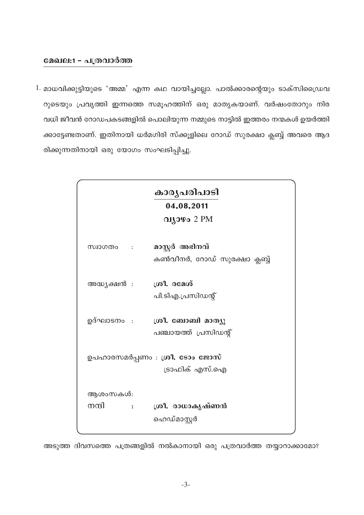### മേഖല:1 - പത്രവാർത്ത

1. മാധവിക്കുട്ടിയുടെ 'അമ്മ' എന്ന കഥ വായിച്ചല്ലോ. പാൽക്കാരന്റെയും ടാക്സിഡ്രൈവ റുടെയും പ്രവൃത്തി ഇന്നത്തെ സമൂഹത്തിന് ഒരു മാതൃകയാണ്. വർഷംതോറും നിര വധി ജീവൻ റോഡപകടങ്ങളിൽ പൊലിയുന്ന നമ്മുടെ നാട്ടിൽ ഇത്തരം നന്മകൾ ഉയർത്തി ക്കാട്ടേണ്ടതാണ്. ഇതിനായി ധർമഗിരി സ്ക്കൂളിലെ റോഡ് സുരക്ഷാ ക്ലബ്ബ് അവരെ ആദ രിക്കുന്നതിനായി ഒരു യോഗം സംഘടിപ്പിച്ചു.

|                                                               | കാരൃപരിപാടി                                           |  |
|---------------------------------------------------------------|-------------------------------------------------------|--|
|                                                               | 04.08.2011                                            |  |
|                                                               | വ്യാഴം $2 \text{ PM}$                                 |  |
| സ്വാഗതം :                                                     | മാസ്റ്റർ അഭിനവ്<br>കൺവീനർ, റോഡ് സുരക്ഷാ ക്ലബ്ബ്       |  |
| അദ്ധ്യക്ഷൻ :                                                  | ശ്രീ. രമേശ്<br>പി.ടിഎ.പ്രസിഡന്റ്                      |  |
|                                                               | ഉദ്ഘാടനം : ശ്രീ. ബോബി മാത്യു<br>പഞ്ചായത്ത് പ്രസിഡന്റ് |  |
| ഉപഹാരസമർപ്പണം : ശ്രീ. ടോം ജോസ്<br>ട്രാഫിക് എസ്.ഐ              |                                                       |  |
| ആശംസകൾ:<br>നന്ദി<br>$\sim$ $\sim$ $\sim$ $\sim$ $\sim$ $\sim$ | ശ്രീ. രാധാകൃഷ്ണൻ<br>ഹെഡ്മാസ്റ്റർ                      |  |

അടുത്ത ദിവസത്തെ പത്രങ്ങളിൽ നൽകാനായി ഒരു പത്രവാർത്ത തയ്യാറാക്കാമോ?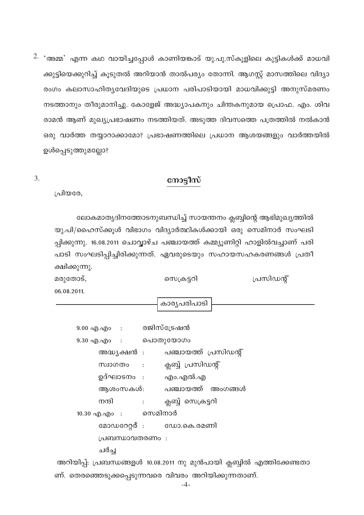$2.$  'അമ്മ' എന്ന കഥ വായിച്ചപ്പോൾ കാണിയങ്കാട് യു.പു.സ്കൂളിലെ കുട്ടികൾക്ക് മാധവി ക്കുട്ടിയെക്കുറിച്ച് കൂടുതൽ അറിയാൻ താൽപര്യം തോന്നി. ആഗസ്റ്റ് മാസത്തിലെ വിദ്യാ രംഗം കലാസാഹിതൃവേദിയുടെ പ്രധാന പരിപാടിയായി മാധവിക്കുട്ടി അനുസ്മരണം നടത്താനും തീരുമാനിച്ചു. കോളേജ് അദ്ധ്യാപകനും ചിന്തകനുമായ പ്രൊഫ. എം. ശിവ രാമൻ ആണ് മുഖ്യപ്രഭാഷണം നടത്തിയത്. അടുത്ത ദിവസത്തെ പത്രത്തിൽ നൽകാൻ ഒരു വാർത്ത തയ്യാറാക്കാമോ? പ്രഭാഷണത്തിലെ പ്രധാന ആശയങ്ങളും വാർത്തയിൽ ഉൾപ്പെടുത്തുമല്ലോ?

### നോട്ടീസ്

 $\overline{3}$ .

പ്രിയരേ.

ലോകമാതൃദിനത്തോടനുബന്ധിച്ച് സായന്തനം ക്ലബ്ബിന്റെ ആഭിമുഖ്യത്തിൽ യു.പി/ഹൈസ്ക്കൂൾ വിഭാഗം വിദ്യാർത്ഥികൾക്കായി ഒരു സെമിനാർ സംഘടി പ്പിക്കുന്നു. 16.08.2011 ചൊവ്വാഴ്ച പഞ്ചായത്ത് കമ്മ്യൂണിറ്റി ഹാളിൽവച്ചാണ് പരി പാടി സംഘടിപ്പിച്ചിരിക്കുന്നത്. ഏവരുടെയും സഹായസഹകരണങ്ങൾ പ്രതീ ക്ഷിക്കുന്നു.

| മരുതോട്,    | സെക്രട്ടറി | പ്രസിഡന്റ് |
|-------------|------------|------------|
| 06.08.2011. |            |            |

കാര്യപരിപാടി

| 9.00 എ.എം : രജിസ്ട്രേഷൻ |                                                                       |
|-------------------------|-----------------------------------------------------------------------|
| 9.30 എ.എം : പൊതുയോഗം    |                                                                       |
|                         | അദ്ധ്യക്ഷൻ : പഞ്ചായത്ത് പ്രസിഡന്റ്                                    |
|                         | സ്വാഗതം : ക്ലബ്ബ് പ്രസിഡന്റ്                                          |
|                         | ഉദ്ഘാടനം : എം.എൽ.എ                                                    |
|                         | ആശംസകൾ: പഞ്ചായത്ത് അംഗങ്ങൾ                                            |
| നന്ദി :                 | ക്ലബ്ബ് സെക്രട്ടറി                                                    |
| 10.30 എ.എം : സെമിനാർ    |                                                                       |
|                         | മോഡറേറ്റർ : ഡോ.കെ.രമണി                                                |
| പ്രബന്ധാവതരണം :         |                                                                       |
| ചർച്ച                   |                                                                       |
|                         | അറിയിപ്പ്: പ്രബന്ധങ്ങളൾ 10.08.2011 നു മുൻപായി ക്ലബ്ബിൽ എത്തിക്കേണ്ടതാ |

ണ്. തെരഞ്ഞെടുക്കപ്പെടുന്നവരെ വിവരം അറിയിക്കുന്നതാണ്.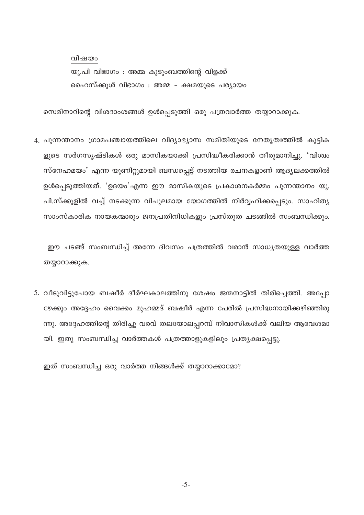വിഷയം

യു.പി വിഭാഗം : അമ്മ കൂടുംബത്തിന്റെ വിളക്ക് ഹൈസ്ക്കൂൾ വിഭാഗം : അമ്മ - ക്ഷമയുടെ പര്യായം

സെമിനാറിന്റെ വിശദാംശങ്ങൾ ഉൾപ്പെടുത്തി ഒരു പത്രവാർത്ത തയ്യാറാക്കുക.

4. പുന്നന്താനം ഗ്രാമപഞ്ചായത്തിലെ വിദ്യാഭ്യാസ സമിതിയുടെ നേതൃത്വത്തിൽ കുട്ടിക ളുടെ സർഗസൃഷ്ടികൾ ഒരു മാസികയാക്കി പ്രസിദ്ധീകരിക്കാൻ തീരുമാനിച്ചു. 'വിശ്വം സ്നേഹമയം' എന്ന യൂണിറ്റുമായി ബന്ധപ്പെട്ട് നടത്തിയ രചനകളാണ് ആദ്യലക്കത്തിൽ ഉൾപ്പെടുത്തിയത്. 'ഉദയം'എന്ന ഈ മാസികയുടെ പ്രകാശനകർമ്മം പുന്നന്താനം യു. പി.സ്ക്കുളിൽ വച്ച് നടക്കുന്ന വിപുലമായ യോഗത്തിൽ നിർവ്വഹിക്കപ്പെടും. സാഹിത്യ സാംസ്കാരിക നായകന്മാരും ജനപ്രതിനിധികളും പ്രസ്തുത ചടങ്ങിൽ സംബന്ധിക്കും.

ഈ ചടങ്ങ് സംബന്ധിച്ച് അന്നേ ദിവസം പത്രത്തിൽ വരാൻ സാധ്യതയുള്ള വാർത്ത തയ്യാറാക്കുക.

5. വീടുവിട്ടുപോയ ബഷീർ ദീർഘകാലത്തിനു ശേഷം ജന്മനാട്ടിൽ തിരിച്ചെത്തി. അപ്പോ ഴേക്കും അദ്ദേഹം വൈക്കം മുഹമ്മദ് ബഷീർ എന്ന പേരിൽ പ്രസിദ്ധനായിക്കഴിഞ്ഞിരു ന്നു. അദ്ദേഹത്തിന്റെ തിരിച്ചു വരവ് തലയോലപ്പറമ്പ് നിവാസികൾക്ക് വലിയ ആവേശമാ യി. ഇതു സംബന്ധിച്ച വാർത്തകൾ പത്രത്താളുകളിലും പ്രത്യക്ഷപ്പെട്ടു.

ഇത് സംബന്ധിച്ച ഒരു വാർത്ത നിങ്ങൾക്ക് തയ്യാറാക്കാമോ?

 $-5-$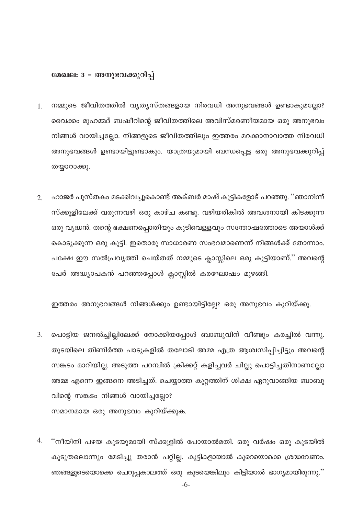### മേഖല: 3 - അനുഭവക്കുറിപ്പ്

- നമ്മുടെ ജീവിതത്തിൽ വ്യത്യസ്തങ്ങളായ നിരവധി അനുഭവങ്ങൾ ഉണ്ടാകുമല്ലോ?  $1<sub>1</sub>$ വൈക്കം മുഹമ്മദ് ബഷീറിന്റെ ജീവിതത്തിലെ അവിസ്മരണീയമായ ഒരു അനുഭവം നിങ്ങൾ വായിച്ചല്ലോ. നിങ്ങളുടെ ജീവിതത്തിലും ഇത്തരം മറക്കാനാവാത്ത നിരവധി അനുഭവങ്ങൾ ഉണ്ടായിട്ടുണ്ടാകും. യാത്രയുമായി ബന്ധപ്പെട്ട ഒരു അനുഭവക്കുറിപ്പ് തയ്യാറാക്കൂ.
- ഹാജർ പുസ്തകം മടക്കിവച്ചുകൊണ്ട് അക്ബർ മാഷ് കുട്ടികളോട് പറഞ്ഞു. ''ഞാനിന്ന്  $2.$ സ്ക്കുളിലേക്ക് വരുന്നവഴി ഒരു കാഴ്ച കണ്ടു. വഴിയരികിൽ അവശനായി കിടക്കുന്ന ഒരു വൃദ്ധൻ. തന്റെ ഭക്ഷണപ്പൊതിയും കുടിവെള്ളവും സന്തോഷത്തോടെ അയാൾക്ക് കൊടുക്കുന്ന ഒരു കുട്ടി. ഇതൊരു സാധാരണ സംഭവമാണെന്ന് നിങ്ങൾക്ക് തോന്നാം. പക്ഷേ ഈ സൽപ്രവൃത്തി ചെയ്തത് നമ്മുടെ ക്ലാസ്സിലെ ഒരു കുട്ടിയാണ്." അവന്റെ പേര് അദ്ധ്യാപകൻ പറഞ്ഞപ്പോൾ ക്ലാസ്സിൽ കരഘോഷം മുഴങ്ങി.

ഇത്തരം അനുഭവങ്ങൾ നിങ്ങൾക്കും ഉണ്ടായിട്ടില്ലേ? ഒരു അനുഭവം കുറിയ്ക്കൂ.

- 3. പൊട്ടിയ ജനൽച്ചില്ലിലേക്ക് നോക്കിയപ്പോൾ ബാബുവിന് വീണ്ടും കരച്ചിൽ വന്നു. തുടയിലെ തിണിർത്ത പാടുകളിൽ തലോടി അമ്മ എത്ര ആശ്വസിപ്പിച്ചിട്ടും അവന്റെ സങ്കടം മാറിയില്ല. അടുത്ത പറമ്പിൽ ക്രിക്കറ്റ് കളിച്ചവർ ചില്ലു പൊട്ടിച്ചതിനാണല്ലോ അമ്മ എന്നെ ഇങ്ങനെ അടിച്ചത്. ചെയ്യാത്ത കുറ്റത്തിന് ശിക്ഷ ഏറുവാങ്ങിയ ബാബു വിന്റെ സങ്കടം നിങ്ങൾ വായിച്ചല്ലോ? സമാനമായ ഒരു അനുഭവം കുറിയ്ക്കുക.
- 4. ''നീയിനി പഴയ കുടയുമായി സ്ക്കൂളിൽ പോയാൽമതി. ഒരു വർഷം ഒരു കുടയിൽ കൂടുതലൊന്നും മേടിച്ചു തരാൻ പറ്റില്ല. കുട്ടികളായാൽ കുറെയൊക്കെ ശ്രദ്ധവേണം. ഞങ്ങളുടെയൊക്കെ ചെറുപ്പകാലത്ത് ഒരു കുടയെങ്കിലും കിട്ടിയാൽ ഭാഗ്യമായിരുന്നു.''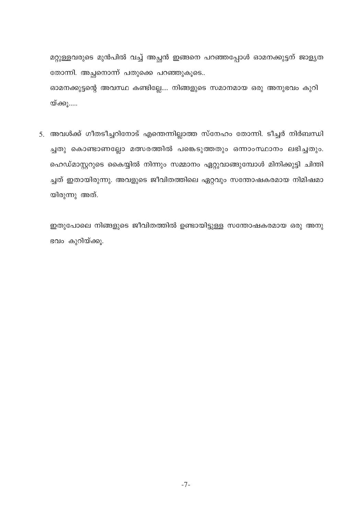മറ്റുള്ളവരുടെ മുൻപിൽ വച്ച് അച്ഛൻ ഇങ്ങനെ പറഞ്ഞപ്പോൾ ഓമനക്കുട്ടന് ജാളൃത തോന്നി. അച്ഛനൊന്ന് പതുക്കെ പറഞ്ഞുകൂടെ.. ഓമനക്കുട്ടന്റെ അവസ്ഥ കണ്ടില്ലേ.... നിങ്ങളുടെ സമാനമായ ഒരു അനുഭവം കുറി യ്ക്കൂ.....

5. അവൾക്ക് ഗീതടീച്ചറിനോട് എന്തെന്നില്ലാത്ത സ്നേഹം തോന്നി. ടീച്ചർ നിർബന്ധി ച്ചതു കൊണ്ടാണല്ലോ മത്സരത്തിൽ പങ്കെടുത്തതും ഒന്നാംസ്ഥാനം ലഭിച്ചതും. ഹെഡ്മാസ്റ്ററുടെ കൈയ്യിൽ നിന്നും സമ്മാനം ഏറ്റുവാങ്ങുമ്പോൾ മിനിക്കുട്ടി ചിന്തി ച്ചത് ഇതായിരുന്നു. അവളുടെ ജീവിതത്തിലെ ഏറ്റവും സന്തോഷകരമായ നിമിഷമാ യിരുന്നു അത്.

ഇതുപോലെ നിങ്ങളുടെ ജീവിതത്തിൽ ഉണ്ടായിട്ടുള്ള സന്തോഷകരമായ ഒരു അനു ഭവം കുറിയ്ക്കൂ.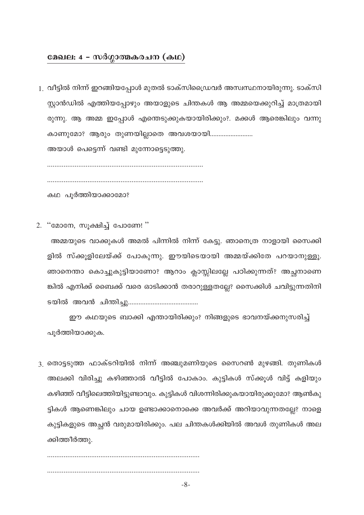### മേഖല: 4 - സർഗ്ഗാത്മകരചന (കഥ)

1. വീട്ടിൽ നിന്ന് ഇറങ്ങിയപ്പോൾ മുതൽ ടാക്സിഡ്രൈവർ അസ്വസ്ഥനായിരുന്നു. ടാക്സി സ്റ്റാൻഡിൽ എത്തിയപ്പോഴും അയാളുടെ ചിന്തകൾ ആ അമ്മയെക്കുറിച്ച് മാത്രമായി രുന്നു. ആ അമ്മ ഇപ്പോൾ എന്തെടുക്കുകയായിരിക്കും?. മക്കൾ ആരെങ്കിലും വന്നു കാണുമോ? ആരും തുണയില്ലാതെ അവശയായി.........................

അയാൾ പെട്ടെന്ന് വണ്ടി മുന്നോട്ടെടുത്തു.

കഥ പൂർത്തിയാക്കാമോ?

2. "മോനേ, സൂക്ഷിച്ച് പോണേ! "

അമ്മയുടെ വാക്കുകൾ അമൽ പിന്നിൽ നിന്ന് കേട്ടു. ഞാനെത്ര നാളായി സൈക്കി ളിൽ സ്ക്കൂളിലേയ്ക്ക് പോകുന്നു. ഈയിടെയായി അമ്മയ്ക്കിതേ പറയാനുള്ളൂ. ഞാനെന്താ കൊച്ചുകുട്ടിയാണോ? ആറാം ക്ലാസ്സിലല്ലേ പഠിക്കുന്നത്? അച്ഛനാണെ ങ്കിൽ എനിക്ക് ബൈക്ക് വരെ ഓടിക്കാൻ തരാറുള്ളതല്ലേ? സൈക്കിൾ ചവിട്ടുന്നതിനി 

ഈ കഥയുടെ ബാക്കി എന്തായിരിക്കും? നിങ്ങളുടെ ഭാവനയ്ക്കനുസരിച്ച് പൂർത്തിയാക്കുക.

3. തൊട്ടടുത്ത ഫാക്ടറിയിൽ നിന്ന് അഞ്ചുമണിയുടെ സൈറൺ മുഴങ്ങി. തുണികൾ അലക്കി വിരിച്ചു കഴിഞ്ഞാൽ വീട്ടിൽ പോകാം. കുട്ടികൾ സ്ക്കൂൾ വിട്ട് കളിയും കഴിഞ്ഞ് വീട്ടിലെത്തിയിട്ടുണ്ടാവും. കുട്ടികൾ വിശന്നിരിക്കുകയായിരുക്കുമോ? ആൺകു ട്ടികൾ ആണെങ്കിലും ചായ ഉണ്ടാക്കാനൊക്കെ അവർക്ക് അറിയാവുന്നതല്ലേ? നാളെ കുട്ടികളുടെ അച്ഛൻ വരുമായിരിക്കും. പല ചിന്തകൾക്കിയിൽ അവൾ തുണികൾ അല ക്കിത്തീർത്തു.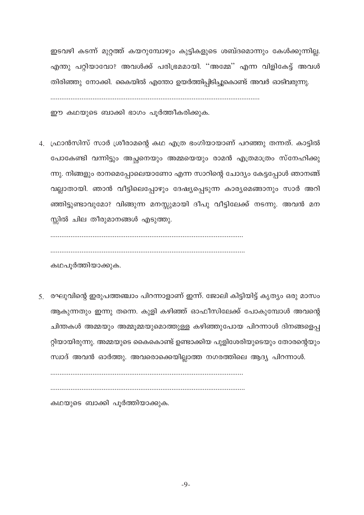ഇടവഴി കടന്ന് മുറ്റത്ത് കയറുമ്പോഴും കുട്ടികളുടെ ശബ്ദമൊന്നും കേൾക്കുന്നില്ല. എന്തു പറ്റിയാവോ? അവൾക്ക് പരിഭ്രമമായി. ''അമ്മേ'' എന്ന വിളികേട്ട് അവൾ തിരിഞ്ഞു നോക്കി. കൈയിൽ എന്തോ ഉയർത്തിപ്പിടിച്ചുകൊണ്ട് അവർ ഓടിവരുന്നു.

ഈ കഥയുടെ ബാക്കി ഭാഗം പൂർത്തീകരിക്കുക.

4. ഫ്രാൻസിസ് സാർ ശ്രീരാമന്റെ കഥ എത്ര ഭംഗിയായാണ് പറഞ്ഞു തന്നത്. കാട്ടിൽ പോകേണ്ടി വന്നിട്ടും അച്ഛനെയും അമ്മയെയും രാമൻ എത്രമാത്രം സ്നേഹിക്കു ന്നു. നിങ്ങളും രാനമെപ്പോലെയാണോ എന്ന സാറിന്റെ ചോദ്യം കേട്ടപ്പോൾ ഞാനങ്ങ് വല്ലാതായി. ഞാൻ വീട്ടിലെപ്പോഴും ദേഷ്യപ്പെടുന്ന കാര്യമെങ്ങാനും സാർ അറി ഞ്ഞിട്ടുണ്ടാവുമോ? വിങ്ങുന്ന മനസ്സുമായി ദീപു വീട്ടിലേക്ക് നടന്നു. അവൻ മന സ്സിൽ ചില തീരുമാനങ്ങൾ എടുത്തു.

കഥപൂർത്തിയാക്കുക.

5. രഘുവിന്റെ ഇരുപത്തഞ്ചാം പിറന്നാളാണ് ഇന്ന്. ജോലി കിട്ടിയിട്ട് കൃത്യം ഒരു മാസം ആകുന്നതും ഇന്നു തന്നെ. കുളി കഴിഞ്ഞ് ഓഫീസിലേക്ക് പോകുമ്പോൾ അവന്റെ ചിന്തകൾ അമ്മയും അമ്മുമ്മയുമൊത്തുള്ള കഴിഞ്ഞുപോയ പിറന്നാൾ ദിനങ്ങളെപ്പ റ്റിയായിരുന്നു. അമ്മയുടെ കൈകൊണ്ട് ഉണ്ടാക്കിയ പുളിശേരിയുടെയും തോരന്റെയും സ്വാദ് അവൻ ഓർത്തു. അവരൊക്കെയില്ലാത്ത നഗരത്തിലെ ആദ്യ പിറന്നാൾ.

കഥയുടെ ബാക്കി പൂർത്തിയാക്കുക.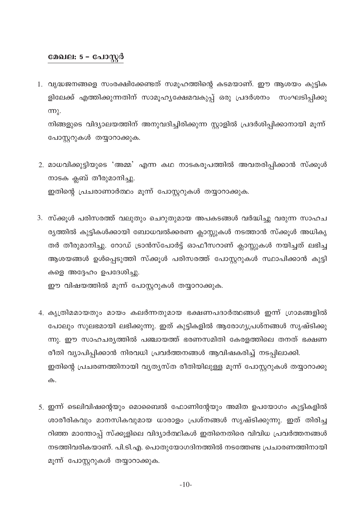### മേഖല: 5 - പോസ്റ്റർ

1. വൃദ്ധജനങ്ങളെ സംരക്ഷിക്കേണ്ടത് സമൂഹത്തിന്റെ കടമയാണ്. ഈ ആശയം കുട്ടിക ളിലേക്ക് എത്തിക്കുന്നതിന് സാമൂഹ്യക്ഷേമവകുപ്പ് ഒരു പ്രദർശനം സംഘടിപ്പിക്കു  $m<sub>l</sub>$ .

നിങ്ങളുടെ വിദ്യാലയത്തിന് അനുവദിച്ചിരിക്കുന്ന സ്റ്റാളിൽ പ്രദർശിപ്പിക്കാനായി മൂന്ന് പോസ്റ്ററുകൾ തയ്യാറാക്കുക.

- 2. മാധവിക്കുട്ടിയുടെ 'അമ്മ' എന്ന കഥ നാടകരൂപത്തിൽ അവതരിപ്പിക്കാൻ സ്ക്കൂൾ നാടക ക്ലബ് തീരുമാനിച്ചു. ഇതിന്റെ പ്രചരാണാർത്ഥം മൂന്ന് പോസ്റ്ററുകൾ തയ്യാറാക്കുക.
- 3. സ്ക്കുൾ പരിസരത്ത് വലുതും ചെറുതുമായ അപകടങ്ങൾ വർദ്ധിച്ചു വരുന്ന സാഹച ര്യത്തിൽ കുട്ടികൾക്കായി ബോധവൽക്കരണ ക്ലാസ്സുകൾ നടത്താൻ സ്ക്കൂൾ അധികൃ തർ തീരുമാനിച്ചു. റോഡ് ട്രാൻസ്പോർട്ട് ഓഫീസറാണ് ക്ലാസ്സുകൾ നയിച്ചത് ലഭിച്ച ആശയങ്ങൾ ഉൾപ്പെടുത്തി സ്ക്കൂൾ പരിസരത്ത് പോസ്റ്ററുകൾ സ്ഥാപിക്കാൻ കുട്ടി കളെ അദ്ദേഹം ഉപദേശിച്ചു.

ഈ വിഷയത്തിൽ മൂന്ന് പോസ്റ്ററുകൾ തയ്യാറാക്കുക.

- 4. കൃത്രിമമായതും മായം കലർന്നതുമായ ഭക്ഷണപദാർത്ഥങ്ങൾ ഇന്ന് ഗ്രാമങ്ങളിൽ പോലും സുലഭമായി ലഭിക്കുന്നു. ഇത് കുട്ടികളിൽ ആരോഗ്യപ്രശ്നങ്ങൾ സൃഷ്ടിക്കു ന്നു. ഈ സാഹചര്യത്തിൽ പഞ്ചായത്ത് ഭരണസമിതി കേരളത്തിലെ തനത് ഭക്ഷണ രീതി വ്യാപിപ്പിക്കാൻ നിരവധി പ്രവർത്തനങ്ങൾ ആവിഷകരിച്ച് നടപ്പിലാക്കി. ഇതിന്റെ പ്രചരണത്തിനായി വ്യത്യസ്ത രീതിയിലുള്ള മൂന്ന് പോസ്റ്ററുകൾ തയ്യാറാക്കു ക.
- 5. ഇന്ന് ടെലിവിഷന്റെയും മൊബൈൽ ഫോണിന്റേയും അമിത ഉപയോഗം കുട്ടികളിൽ ശാരീരികവും മാനസികവുമായ ധാരാളം പ്രശ്നങ്ങൾ സൃഷ്ടിക്കുന്നു. ഇത് തിരിച്ച റിഞ്ഞ മാന്തോപ്പ് സ്ക്കൂളിലെ വിദ്യാർത്ഥികൾ ഇതിനെതിരെ വിവിധ പ്രവർത്തനങ്ങൾ നടത്തിവരികയാണ്. പി.ടി.എ. പൊതുയോഗദിനത്തിൽ നടത്തേണ്ട പ്രചാരണത്തിനായി മൂന്ന് പോസ്റ്ററുകൾ തയ്യാറാക്കുക.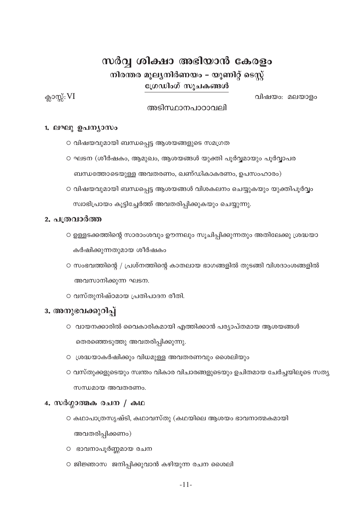### സർവ്വ ശിക്ഷാ അഭിയാൻ കേരളം നിരന്തര മൂല്യനിർണയം – യൂണിറ്റ് ടെസ്റ്റ് ഗ്രേഡിംഗ് സൂചകങ്ങൾ

ക്ലാസ്സ്:  $VI$ 

വിഷയം: മലയാളം

### അടിസ്ഥാനപാഠാവലി

### 1. ലഘു ഉപന്യാസം

- വിഷയവുമായി ബന്ധപ്പെട്ട ആശയങ്ങളുടെ സമഗ്രത
- ഘടന (ശീർഷകം, ആമുഖം, ആശയങ്ങൾ യുക്തി പൂർവ്വമായും പൂർവ്വാപര ബന്ധത്തോടെയുള്ള അവതരണം, ഖണ്ഡികാകരണം, ഉപസംഹാരം)
- വിഷയവുമായി ബന്ധപ്പെട്ട ആശയങ്ങൾ വിശകലനം ചെയ്യുകയും യുക്തിപൂർവ്വം സ്വാഭിപ്രായം കൂട്ടിച്ചേർത്ത് അവതരിപ്പിക്കുകയും ചെയ്യുന്നു.

### 2. പത്രവാർത്ത

- ഉള്ളടക്കത്തിന്റെ സാരാംശവും ഊന്നലും സൂചിപ്പിക്കുന്നതും അതിലേക്കു ശ്രദ്ധയാ കർഷിക്കുന്നതുമായ ശീർഷകം
- O സംഭവത്തിന്റെ / പ്രശ്നത്തിന്റെ കാതലായ ഭാഗങ്ങളിൽ തുടങ്ങി വിശദാംശങ്ങളിൽ അവസാനിക്കുന്ന ഘടന.
- വസ്തുനിഷ്ഠമായ പ്രതിപാദന രീതി.

### 3. അനുഭവക്കുറിപ്

- വായനക്കാരിൽ വൈകാരികമായി എത്തിക്കാൻ പര്യാപ്തമായ ആശയങ്ങൾ തെരഞ്ഞെടുത്തു അവതരിപ്പിക്കുന്നു.
- ശ്രദ്ധയാകർഷിക്കും വിധമുള്ള അവതരണവും ശൈലിയും
- വസ്തുക്കളുടെയും സ്വന്തം വികാര വിചാരങ്ങളുടെയും ഉചിതമായ ചേർച്ചയിലൂടെ സത്യ സന്ധമായ അവതരണം.

### 4. സർഗ്ഗാത്മക രചന / കഥ

- കഥാപാത്രസൃഷ്ടി, കഥാവസ്തു (കഥയിലെ ആശയം ഭാവനാത്മകമായി അവതരിപ്പിക്കണം)
- ഭാവനാപൂർണ്ണമായ രചന
- ജിജ്ഞാസ ജനിപ്പിക്കുവാൻ കഴിയുന്ന രചന ശൈലി